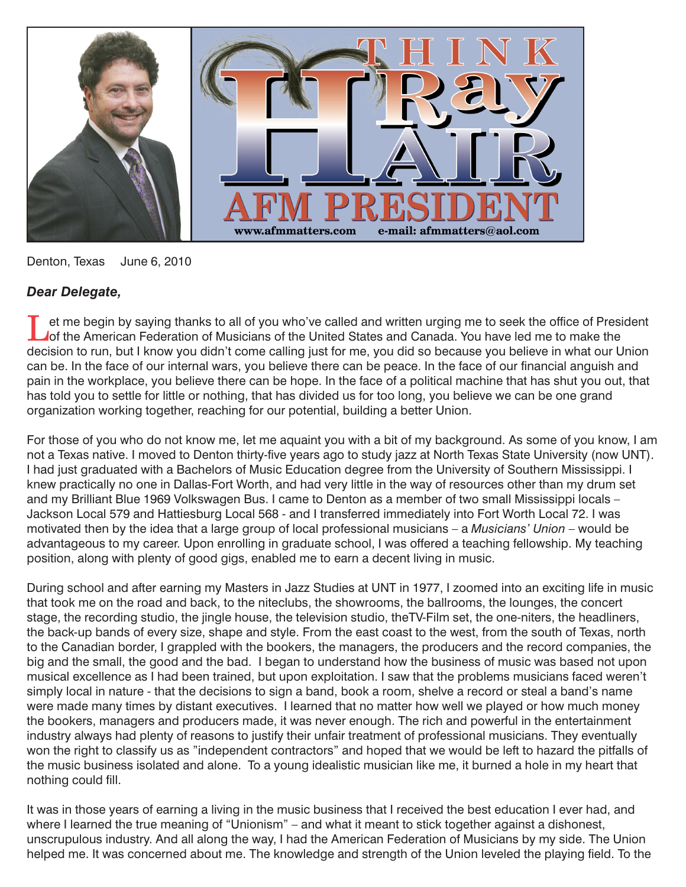

Denton, Texas June 6, 2010

## *Dear Delegate,*

I et me begin by saying thanks to all of you who've called and written urging me to seek the office of President<br>
I of the American Federation of Musicians of the United States and Canada. You have led me to make the decision to run, but I know you didn't come calling just for me, you did so because you believe in what our Union can be. In the face of our internal wars, you believe there can be peace. In the face of our financial anguish and pain in the workplace, you believe there can be hope. In the face of a political machine that has shut you out, that has told you to settle for little or nothing, that has divided us for too long, you believe we can be one grand organization working together, reaching for our potential, building a better Union.

For those of you who do not know me, let me aquaint you with a bit of my background. As some of you know, I am not a Texas native. I moved to Denton thirty-five years ago to study jazz at North Texas State University (now UNT). I had just graduated with a Bachelors of Music Education degree from the University of Southern Mississippi. I knew practically no one in Dallas-Fort Worth, and had very little in the way of resources other than my drum set and my Brilliant Blue 1969 Volkswagen Bus. I came to Denton as a member of two small Mississippi locals – Jackson Local 579 and Hattiesburg Local 568 - and I transferred immediately into Fort Worth Local 72. I was motivated then by the idea that a large group of local professional musicians – a *Musicians' Union* – would be advantageous to my career. Upon enrolling in graduate school, I was offered a teaching fellowship. My teaching position, along with plenty of good gigs, enabled me to earn a decent living in music.

During school and after earning my Masters in Jazz Studies at UNT in 1977, I zoomed into an exciting life in music that took me on the road and back, to the niteclubs, the showrooms, the ballrooms, the lounges, the concert stage, the recording studio, the jingle house, the television studio, theTV-Film set, the one-niters, the headliners, the back-up bands of every size, shape and style. From the east coast to the west, from the south of Texas, north to the Canadian border, I grappled with the bookers, the managers, the producers and the record companies, the big and the small, the good and the bad. I began to understand how the business of music was based not upon musical excellence as I had been trained, but upon exploitation. I saw that the problems musicians faced weren't simply local in nature - that the decisions to sign a band, book a room, shelve a record or steal a band's name were made many times by distant executives. I learned that no matter how well we played or how much money the bookers, managers and producers made, it was never enough. The rich and powerful in the entertainment industry always had plenty of reasons to justify their unfair treatment of professional musicians. They eventually won the right to classify us as "independent contractors" and hoped that we would be left to hazard the pitfalls of the music business isolated and alone. To a young idealistic musician like me, it burned a hole in my heart that nothing could fill.

It was in those years of earning a living in the music business that I received the best education I ever had, and where I learned the true meaning of "Unionism" – and what it meant to stick together against a dishonest, unscrupulous industry. And all along the way, I had the American Federation of Musicians by my side. The Union helped me. It was concerned about me. The knowledge and strength of the Union leveled the playing field. To the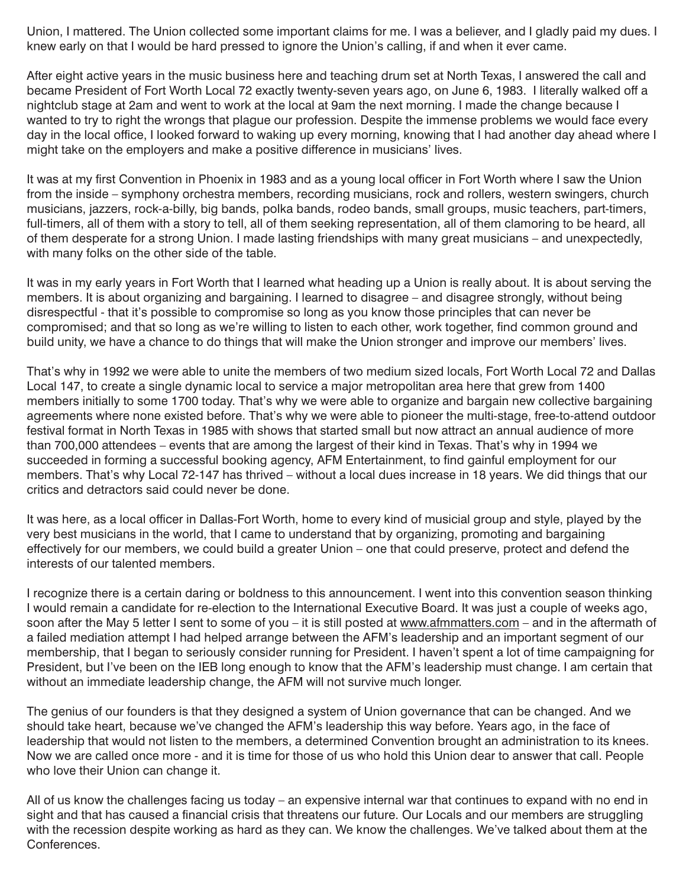Union, I mattered. The Union collected some important claims for me. I was a believer, and I gladly paid my dues. I knew early on that I would be hard pressed to ignore the Union's calling, if and when it ever came.

After eight active years in the music business here and teaching drum set at North Texas, I answered the call and became President of Fort Worth Local 72 exactly twenty-seven years ago, on June 6, 1983. I literally walked off a nightclub stage at 2am and went to work at the local at 9am the next morning. I made the change because I wanted to try to right the wrongs that plague our profession. Despite the immense problems we would face every day in the local office, I looked forward to waking up every morning, knowing that I had another day ahead where I might take on the employers and make a positive difference in musicians' lives.

It was at my first Convention in Phoenix in 1983 and as a young local officer in Fort Worth where I saw the Union from the inside – symphony orchestra members, recording musicians, rock and rollers, western swingers, church musicians, jazzers, rock-a-billy, big bands, polka bands, rodeo bands, small groups, music teachers, part-timers, full-timers, all of them with a story to tell, all of them seeking representation, all of them clamoring to be heard, all of them desperate for a strong Union. I made lasting friendships with many great musicians – and unexpectedly, with many folks on the other side of the table.

It was in my early years in Fort Worth that I learned what heading up a Union is really about. It is about serving the members. It is about organizing and bargaining. I learned to disagree – and disagree strongly, without being disrespectful - that it's possible to compromise so long as you know those principles that can never be compromised; and that so long as we're willing to listen to each other, work together, find common ground and build unity, we have a chance to do things that will make the Union stronger and improve our members' lives.

That's why in 1992 we were able to unite the members of two medium sized locals, Fort Worth Local 72 and Dallas Local 147, to create a single dynamic local to service a major metropolitan area here that grew from 1400 members initially to some 1700 today. That's why we were able to organize and bargain new collective bargaining agreements where none existed before. That's why we were able to pioneer the multi-stage, free-to-attend outdoor festival format in North Texas in 1985 with shows that started small but now attract an annual audience of more than 700,000 attendees – events that are among the largest of their kind in Texas. That's why in 1994 we succeeded in forming a successful booking agency, AFM Entertainment, to find gainful employment for our members. That's why Local 72-147 has thrived – without a local dues increase in 18 years. We did things that our critics and detractors said could never be done.

It was here, as a local officer in Dallas-Fort Worth, home to every kind of musicial group and style, played by the very best musicians in the world, that I came to understand that by organizing, promoting and bargaining effectively for our members, we could build a greater Union – one that could preserve, protect and defend the interests of our talented members.

I recognize there is a certain daring or boldness to this announcement. I went into this convention season thinking I would remain a candidate for re-election to the International Executive Board. It was just a couple of weeks ago, soon after the May 5 letter I sent to some of you – it is still posted at www.afmmatters.com – and in the aftermath of a failed mediation attempt I had helped arrange between the AFM's leadership and an important segment of our membership, that I began to seriously consider running for President. I haven't spent a lot of time campaigning for President, but I've been on the IEB long enough to know that the AFM's leadership must change. I am certain that without an immediate leadership change, the AFM will not survive much longer.

The genius of our founders is that they designed a system of Union governance that can be changed. And we should take heart, because we've changed the AFM's leadership this way before. Years ago, in the face of leadership that would not listen to the members, a determined Convention brought an administration to its knees. Now we are called once more - and it is time for those of us who hold this Union dear to answer that call. People who love their Union can change it.

All of us know the challenges facing us today – an expensive internal war that continues to expand with no end in sight and that has caused a financial crisis that threatens our future. Our Locals and our members are struggling with the recession despite working as hard as they can. We know the challenges. We've talked about them at the Conferences.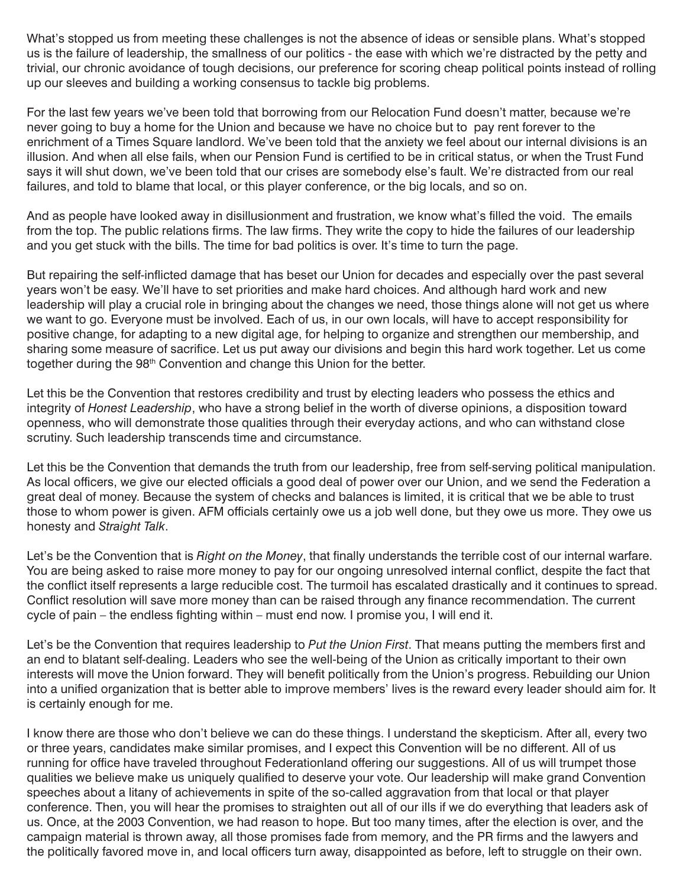What's stopped us from meeting these challenges is not the absence of ideas or sensible plans. What's stopped us is the failure of leadership, the smallness of our politics - the ease with which we're distracted by the petty and trivial, our chronic avoidance of tough decisions, our preference for scoring cheap political points instead of rolling up our sleeves and building a working consensus to tackle big problems.

For the last few years we've been told that borrowing from our Relocation Fund doesn't matter, because we're never going to buy a home for the Union and because we have no choice but to pay rent forever to the enrichment of a Times Square landlord. We've been told that the anxiety we feel about our internal divisions is an illusion. And when all else fails, when our Pension Fund is certified to be in critical status, or when the Trust Fund says it will shut down, we've been told that our crises are somebody else's fault. We're distracted from our real failures, and told to blame that local, or this player conference, or the big locals, and so on.

And as people have looked away in disillusionment and frustration, we know what's filled the void. The emails from the top. The public relations firms. The law firms. They write the copy to hide the failures of our leadership and you get stuck with the bills. The time for bad politics is over. It's time to turn the page.

But repairing the self-inflicted damage that has beset our Union for decades and especially over the past several years won't be easy. We'll have to set priorities and make hard choices. And although hard work and new leadership will play a crucial role in bringing about the changes we need, those things alone will not get us where we want to go. Everyone must be involved. Each of us, in our own locals, will have to accept responsibility for positive change, for adapting to a new digital age, for helping to organize and strengthen our membership, and sharing some measure of sacrifice. Let us put away our divisions and begin this hard work together. Let us come together during the 98<sup>th</sup> Convention and change this Union for the better.

Let this be the Convention that restores credibility and trust by electing leaders who possess the ethics and integrity of *Honest Leadership*, who have a strong belief in the worth of diverse opinions, a disposition toward openness, who will demonstrate those qualities through their everyday actions, and who can withstand close scrutiny. Such leadership transcends time and circumstance.

Let this be the Convention that demands the truth from our leadership, free from self-serving political manipulation. As local officers, we give our elected officials a good deal of power over our Union, and we send the Federation a great deal of money. Because the system of checks and balances is limited, it is critical that we be able to trust those to whom power is given. AFM officials certainly owe us a job well done, but they owe us more. They owe us honesty and *Straight Talk*.

Let's be the Convention that is *Right on the Money*, that finally understands the terrible cost of our internal warfare. You are being asked to raise more money to pay for our ongoing unresolved internal conflict, despite the fact that the conflict itself represents a large reducible cost. The turmoil has escalated drastically and it continues to spread. Conflict resolution will save more money than can be raised through any finance recommendation. The current cycle of pain – the endless fighting within – must end now. I promise you, I will end it.

Let's be the Convention that requires leadership to *Put the Union First*. That means putting the members first and an end to blatant self-dealing. Leaders who see the well-being of the Union as critically important to their own interests will move the Union forward. They will benefit politically from the Union's progress. Rebuilding our Union into a unified organization that is better able to improve members' lives is the reward every leader should aim for. It is certainly enough for me.

I know there are those who don't believe we can do these things. I understand the skepticism. After all, every two or three years, candidates make similar promises, and I expect this Convention will be no different. All of us running for office have traveled throughout Federationland offering our suggestions. All of us will trumpet those qualities we believe make us uniquely qualified to deserve your vote. Our leadership will make grand Convention speeches about a litany of achievements in spite of the so-called aggravation from that local or that player conference. Then, you will hear the promises to straighten out all of our ills if we do everything that leaders ask of us. Once, at the 2003 Convention, we had reason to hope. But too many times, after the election is over, and the campaign material is thrown away, all those promises fade from memory, and the PR firms and the lawyers and the politically favored move in, and local officers turn away, disappointed as before, left to struggle on their own.